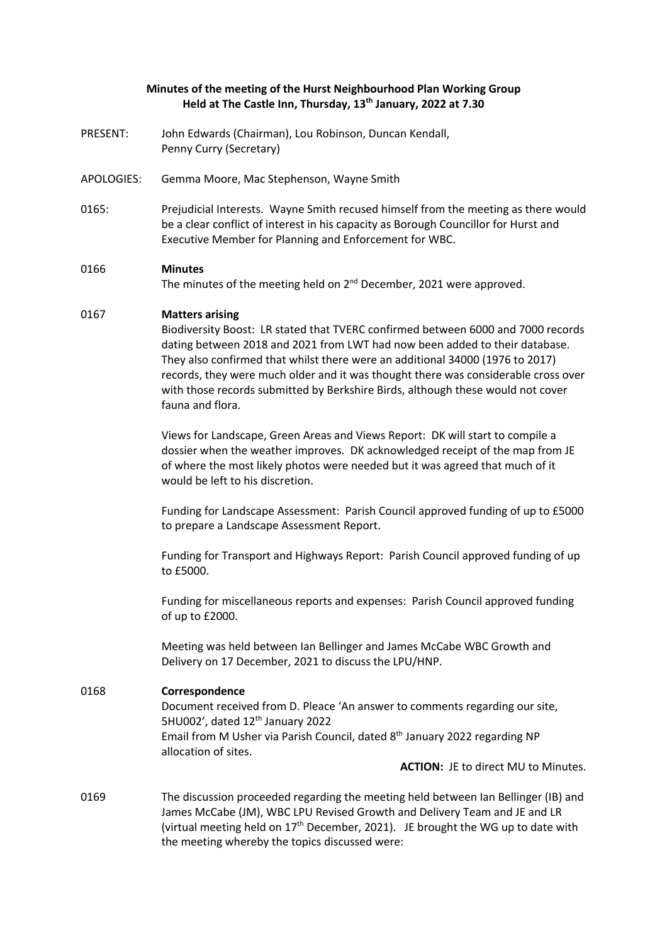## **Minutes of the meeting of the Hurst Neighbourhood Plan Working Group Held at The Castle Inn, Thursday, 13th January, 2022 at 7.30**

- PRESENT: John Edwards (Chairman), Lou Robinson, Duncan Kendall, Penny Curry (Secretary)
- APOLOGIES: Gemma Moore, Mac Stephenson, Wayne Smith
- 0165: Prejudicial Interests. Wayne Smith recused himself from the meeting as there would be a clear conflict of interest in his capacity as Borough Councillor for Hurst and Executive Member for Planning and Enforcement for WBC.

### 0166 **Minutes**

The minutes of the meeting held on 2<sup>nd</sup> December, 2021 were approved.

### 0167 **Matters arising**

Biodiversity Boost: LR stated that TVERC confirmed between 6000 and 7000 records dating between 2018 and 2021 from LWT had now been added to their database. They also confirmed that whilst there were an additional 34000 (1976 to 2017) records, they were much older and it was thought there was considerable cross over with those records submitted by Berkshire Birds, although these would not cover fauna and flora.

Views for Landscape, Green Areas and Views Report: DK will start to compile a dossier when the weather improves. DK acknowledged receipt of the map from JE of where the most likely photos were needed but it was agreed that much of it would be left to his discretion.

Funding for Landscape Assessment: Parish Council approved funding of up to £5000 to prepare a Landscape Assessment Report.

Funding for Transport and Highways Report: Parish Council approved funding of up to £5000.

Funding for miscellaneous reports and expenses: Parish Council approved funding of up to £2000.

Meeting was held between Ian Bellinger and James McCabe WBC Growth and Delivery on 17 December, 2021 to discuss the LPU/HNP.

#### 0168 **Correspondence**

Document received from D. Pleace 'An answer to comments regarding our site, 5HU002', dated  $12<sup>th</sup>$  January 2022 Email from M Usher via Parish Council, dated 8th January 2022 regarding NP allocation of sites.

**ACTION:** JE to direct MU to Minutes.

0169 The discussion proceeded regarding the meeting held between Ian Bellinger (IB) and James McCabe (JM), WBC LPU Revised Growth and Delivery Team and JE and LR (virtual meeting held on  $17<sup>th</sup>$  December, 2021). JE brought the WG up to date with the meeting whereby the topics discussed were: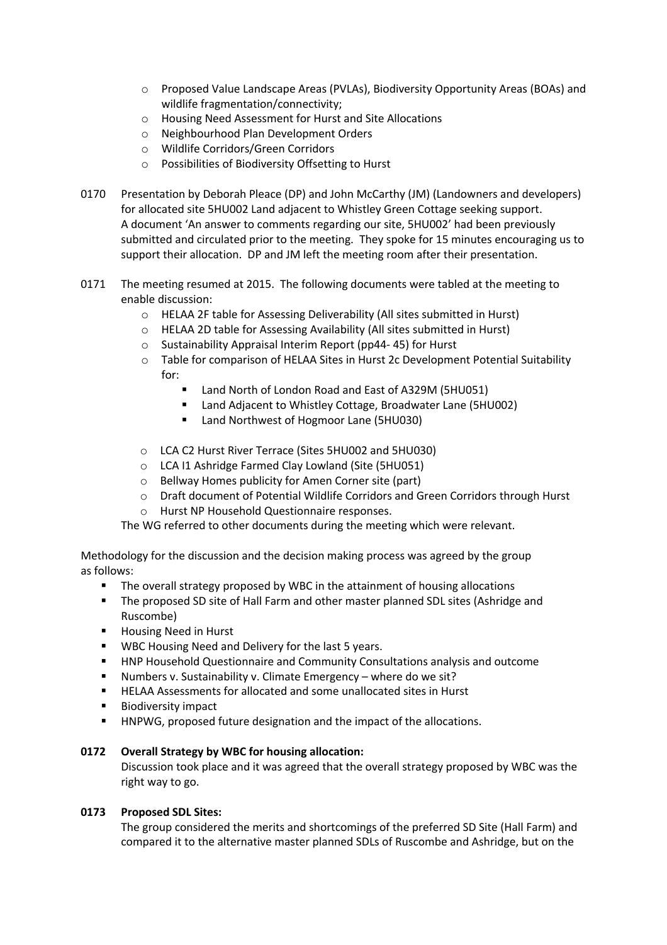- o Proposed Value Landscape Areas (PVLAs), Biodiversity Opportunity Areas (BOAs) and wildlife fragmentation/connectivity;
- o Housing Need Assessment for Hurst and Site Allocations
- o Neighbourhood Plan Development Orders
- o Wildlife Corridors/Green Corridors
- o Possibilities of Biodiversity Offsetting to Hurst
- 0170 Presentation by Deborah Pleace (DP) and John McCarthy (JM) (Landowners and developers) for allocated site 5HU002 Land adjacent to Whistley Green Cottage seeking support. A document 'An answer to comments regarding our site, 5HU002' had been previously submitted and circulated prior to the meeting. They spoke for 15 minutes encouraging us to support their allocation. DP and JM left the meeting room after their presentation.
- 0171 The meeting resumed at 2015. The following documents were tabled at the meeting to enable discussion:
	- o HELAA 2F table for Assessing Deliverability (All sites submitted in Hurst)
	- o HELAA 2D table for Assessing Availability (All sites submitted in Hurst)
	- o Sustainability Appraisal Interim Report (pp44- 45) for Hurst
	- o Table for comparison of HELAA Sites in Hurst 2c Development Potential Suitability for:
		- Land North of London Road and East of A329M (5HU051)
		- Land Adjacent to Whistley Cottage, Broadwater Lane (5HU002)
		- Land Northwest of Hogmoor Lane (5HU030)
	- o LCA C2 Hurst River Terrace (Sites 5HU002 and 5HU030)
	- o LCA I1 Ashridge Farmed Clay Lowland (Site (5HU051)
	- o Bellway Homes publicity for Amen Corner site (part)
	- o Draft document of Potential Wildlife Corridors and Green Corridors through Hurst
	- o Hurst NP Household Questionnaire responses.

The WG referred to other documents during the meeting which were relevant.

Methodology for the discussion and the decision making process was agreed by the group as follows:

- **•** The overall strategy proposed by WBC in the attainment of housing allocations
- The proposed SD site of Hall Farm and other master planned SDL sites (Ashridge and Ruscombe)
- Housing Need in Hurst
- WBC Housing Need and Delivery for the last 5 years.
- **HNP Household Questionnaire and Community Consultations analysis and outcome**
- Numbers v. Sustainability v. Climate Emergency where do we sit?
- HELAA Assessments for allocated and some unallocated sites in Hurst
- § Biodiversity impact
- HNPWG, proposed future designation and the impact of the allocations.

# **0172 Overall Strategy by WBC for housing allocation:**

Discussion took place and it was agreed that the overall strategy proposed by WBC was the right way to go.

# **0173 Proposed SDL Sites:**

The group considered the merits and shortcomings of the preferred SD Site (Hall Farm) and compared it to the alternative master planned SDLs of Ruscombe and Ashridge, but on the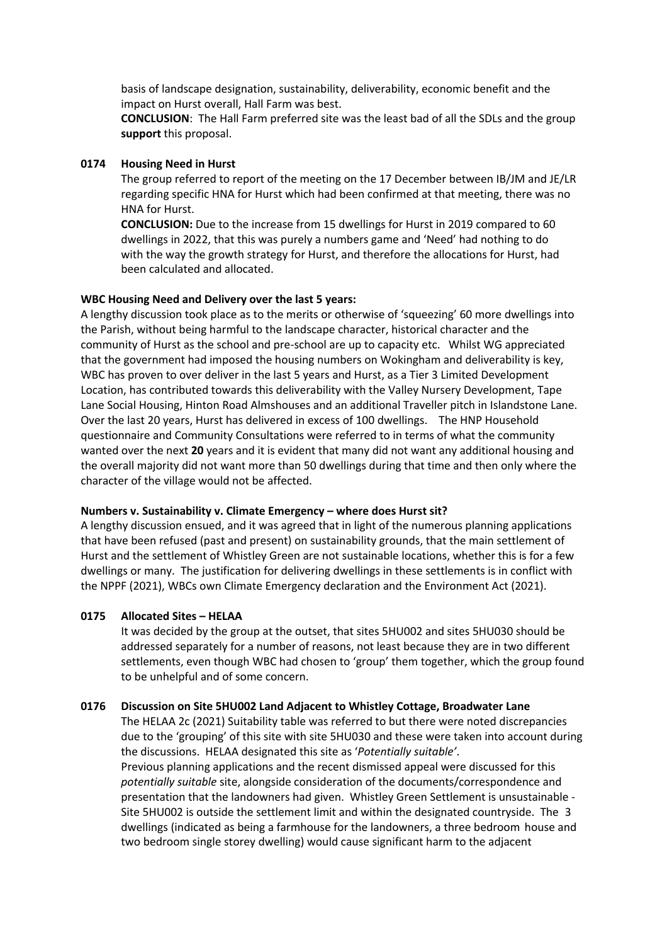basis of landscape designation, sustainability, deliverability, economic benefit and the impact on Hurst overall, Hall Farm was best.

**CONCLUSION**: The Hall Farm preferred site was the least bad of all the SDLs and the group **support** this proposal.

### **0174 Housing Need in Hurst**

The group referred to report of the meeting on the 17 December between IB/JM and JE/LR regarding specific HNA for Hurst which had been confirmed at that meeting, there was no HNA for Hurst.

**CONCLUSION:** Due to the increase from 15 dwellings for Hurst in 2019 compared to 60 dwellings in 2022, that this was purely a numbers game and 'Need' had nothing to do with the way the growth strategy for Hurst, and therefore the allocations for Hurst, had been calculated and allocated.

## **WBC Housing Need and Delivery over the last 5 years:**

A lengthy discussion took place as to the merits or otherwise of 'squeezing' 60 more dwellings into the Parish, without being harmful to the landscape character, historical character and the community of Hurst as the school and pre-school are up to capacity etc. Whilst WG appreciated that the government had imposed the housing numbers on Wokingham and deliverability is key, WBC has proven to over deliver in the last 5 years and Hurst, as a Tier 3 Limited Development Location, has contributed towards this deliverability with the Valley Nursery Development, Tape Lane Social Housing, Hinton Road Almshouses and an additional Traveller pitch in Islandstone Lane. Over the last 20 years, Hurst has delivered in excess of 100 dwellings. The HNP Household questionnaire and Community Consultations were referred to in terms of what the community wanted over the next **20** years and it is evident that many did not want any additional housing and the overall majority did not want more than 50 dwellings during that time and then only where the character of the village would not be affected.

## **Numbers v. Sustainability v. Climate Emergency – where does Hurst sit?**

A lengthy discussion ensued, and it was agreed that in light of the numerous planning applications that have been refused (past and present) on sustainability grounds, that the main settlement of Hurst and the settlement of Whistley Green are not sustainable locations, whether this is for a few dwellings or many. The justification for delivering dwellings in these settlements is in conflict with the NPPF (2021), WBCs own Climate Emergency declaration and the Environment Act (2021).

#### **0175 Allocated Sites – HELAA**

It was decided by the group at the outset, that sites 5HU002 and sites 5HU030 should be addressed separately for a number of reasons, not least because they are in two different settlements, even though WBC had chosen to 'group' them together, which the group found to be unhelpful and of some concern.

#### **0176 Discussion on Site 5HU002 Land Adjacent to Whistley Cottage, Broadwater Lane**

The HELAA 2c (2021) Suitability table was referred to but there were noted discrepancies due to the 'grouping' of this site with site 5HU030 and these were taken into account during the discussions. HELAA designated this site as '*Potentially suitable'*. Previous planning applications and the recent dismissed appeal were discussed for this

*potentially suitable* site, alongside consideration of the documents/correspondence and presentation that the landowners had given. Whistley Green Settlement is unsustainable - Site 5HU002 is outside the settlement limit and within the designated countryside. The 3 dwellings (indicated as being a farmhouse for the landowners, a three bedroom house and two bedroom single storey dwelling) would cause significant harm to the adjacent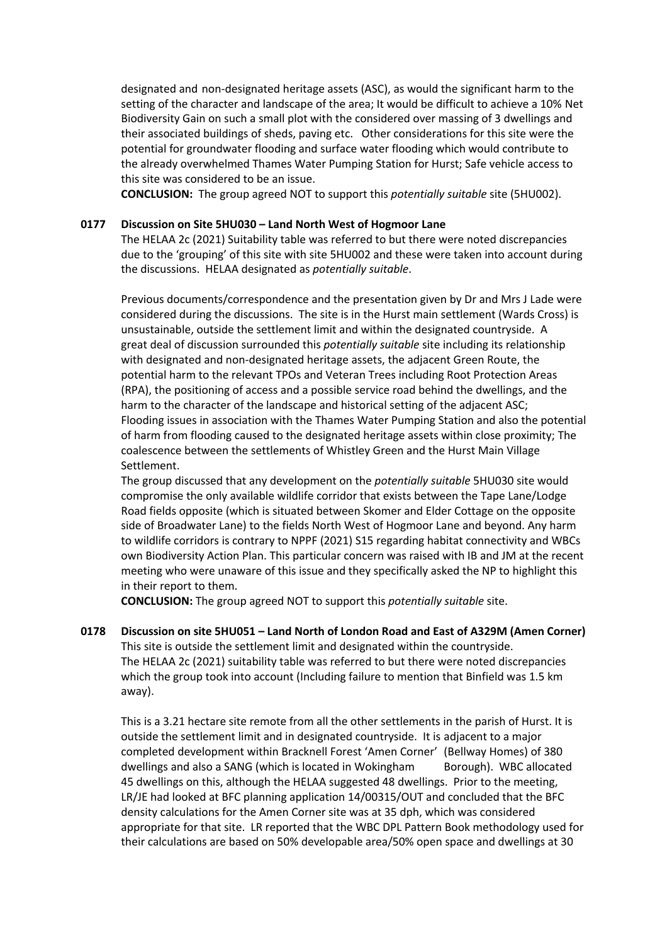designated and non-designated heritage assets (ASC), as would the significant harm to the setting of the character and landscape of the area; It would be difficult to achieve a 10% Net Biodiversity Gain on such a small plot with the considered over massing of 3 dwellings and their associated buildings of sheds, paving etc. Other considerations for this site were the potential for groundwater flooding and surface water flooding which would contribute to the already overwhelmed Thames Water Pumping Station for Hurst; Safe vehicle access to this site was considered to be an issue.

**CONCLUSION:** The group agreed NOT to support this *potentially suitable* site (5HU002).

### **0177 Discussion on Site 5HU030 – Land North West of Hogmoor Lane**

The HELAA 2c (2021) Suitability table was referred to but there were noted discrepancies due to the 'grouping' of this site with site 5HU002 and these were taken into account during the discussions. HELAA designated as *potentially suitable*.

Previous documents/correspondence and the presentation given by Dr and Mrs J Lade were considered during the discussions. The site is in the Hurst main settlement (Wards Cross) is unsustainable, outside the settlement limit and within the designated countryside. A great deal of discussion surrounded this *potentially suitable* site including its relationship with designated and non-designated heritage assets, the adjacent Green Route, the potential harm to the relevant TPOs and Veteran Trees including Root Protection Areas (RPA), the positioning of access and a possible service road behind the dwellings, and the harm to the character of the landscape and historical setting of the adjacent ASC; Flooding issues in association with the Thames Water Pumping Station and also the potential of harm from flooding caused to the designated heritage assets within close proximity; The coalescence between the settlements of Whistley Green and the Hurst Main Village Settlement.

The group discussed that any development on the *potentially suitable* 5HU030 site would compromise the only available wildlife corridor that exists between the Tape Lane/Lodge Road fields opposite (which is situated between Skomer and Elder Cottage on the opposite side of Broadwater Lane) to the fields North West of Hogmoor Lane and beyond. Any harm to wildlife corridors is contrary to NPPF (2021) S15 regarding habitat connectivity and WBCs own Biodiversity Action Plan. This particular concern was raised with IB and JM at the recent meeting who were unaware of this issue and they specifically asked the NP to highlight this in their report to them.

**CONCLUSION:** The group agreed NOT to support this *potentially suitable* site.

**0178 Discussion on site 5HU051 – Land North of London Road and East of A329M (Amen Corner)** This site is outside the settlement limit and designated within the countryside. The HELAA 2c (2021) suitability table was referred to but there were noted discrepancies which the group took into account (Including failure to mention that Binfield was 1.5 km away).

This is a 3.21 hectare site remote from all the other settlements in the parish of Hurst. It is outside the settlement limit and in designated countryside. It is adjacent to a major completed development within Bracknell Forest 'Amen Corner' (Bellway Homes) of 380 dwellings and also a SANG (which is located in Wokingham Borough). WBC allocated 45 dwellings on this, although the HELAA suggested 48 dwellings. Prior to the meeting, LR/JE had looked at BFC planning application 14/00315/OUT and concluded that the BFC density calculations for the Amen Corner site was at 35 dph, which was considered appropriate for that site. LR reported that the WBC DPL Pattern Book methodology used for their calculations are based on 50% developable area/50% open space and dwellings at 30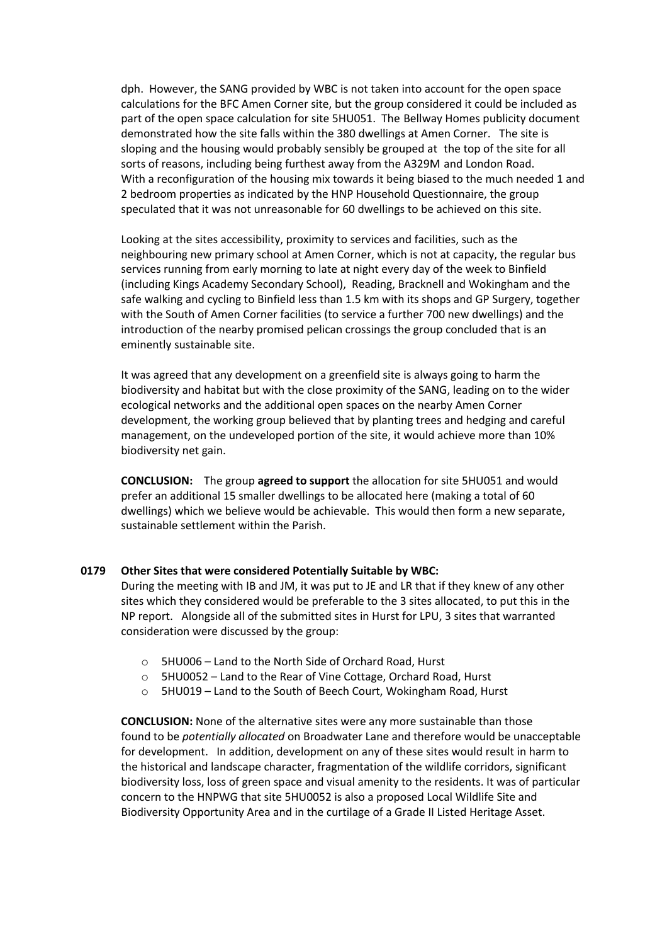dph. However, the SANG provided by WBC is not taken into account for the open space calculations for the BFC Amen Corner site, but the group considered it could be included as part of the open space calculation for site 5HU051. The Bellway Homes publicity document demonstrated how the site falls within the 380 dwellings at Amen Corner. The site is sloping and the housing would probably sensibly be grouped at the top of the site for all sorts of reasons, including being furthest away from the A329M and London Road. With a reconfiguration of the housing mix towards it being biased to the much needed 1 and 2 bedroom properties as indicated by the HNP Household Questionnaire, the group speculated that it was not unreasonable for 60 dwellings to be achieved on this site.

Looking at the sites accessibility, proximity to services and facilities, such as the neighbouring new primary school at Amen Corner, which is not at capacity, the regular bus services running from early morning to late at night every day of the week to Binfield (including Kings Academy Secondary School), Reading, Bracknell and Wokingham and the safe walking and cycling to Binfield less than 1.5 km with its shops and GP Surgery, together with the South of Amen Corner facilities (to service a further 700 new dwellings) and the introduction of the nearby promised pelican crossings the group concluded that is an eminently sustainable site.

It was agreed that any development on a greenfield site is always going to harm the biodiversity and habitat but with the close proximity of the SANG, leading on to the wider ecological networks and the additional open spaces on the nearby Amen Corner development, the working group believed that by planting trees and hedging and careful management, on the undeveloped portion of the site, it would achieve more than 10% biodiversity net gain.

**CONCLUSION:** The group **agreed to support** the allocation for site 5HU051 and would prefer an additional 15 smaller dwellings to be allocated here (making a total of 60 dwellings) which we believe would be achievable. This would then form a new separate, sustainable settlement within the Parish.

#### **0179 Other Sites that were considered Potentially Suitable by WBC:**

During the meeting with IB and JM, it was put to JE and LR that if they knew of any other sites which they considered would be preferable to the 3 sites allocated, to put this in the NP report. Alongside all of the submitted sites in Hurst for LPU, 3 sites that warranted consideration were discussed by the group:

- o 5HU006 Land to the North Side of Orchard Road, Hurst
- o 5HU0052 Land to the Rear of Vine Cottage, Orchard Road, Hurst
- o 5HU019 Land to the South of Beech Court, Wokingham Road, Hurst

**CONCLUSION:** None of the alternative sites were any more sustainable than those found to be *potentially allocated* on Broadwater Lane and therefore would be unacceptable for development. In addition, development on any of these sites would result in harm to the historical and landscape character, fragmentation of the wildlife corridors, significant biodiversity loss, loss of green space and visual amenity to the residents. It was of particular concern to the HNPWG that site 5HU0052 is also a proposed Local Wildlife Site and Biodiversity Opportunity Area and in the curtilage of a Grade II Listed Heritage Asset.